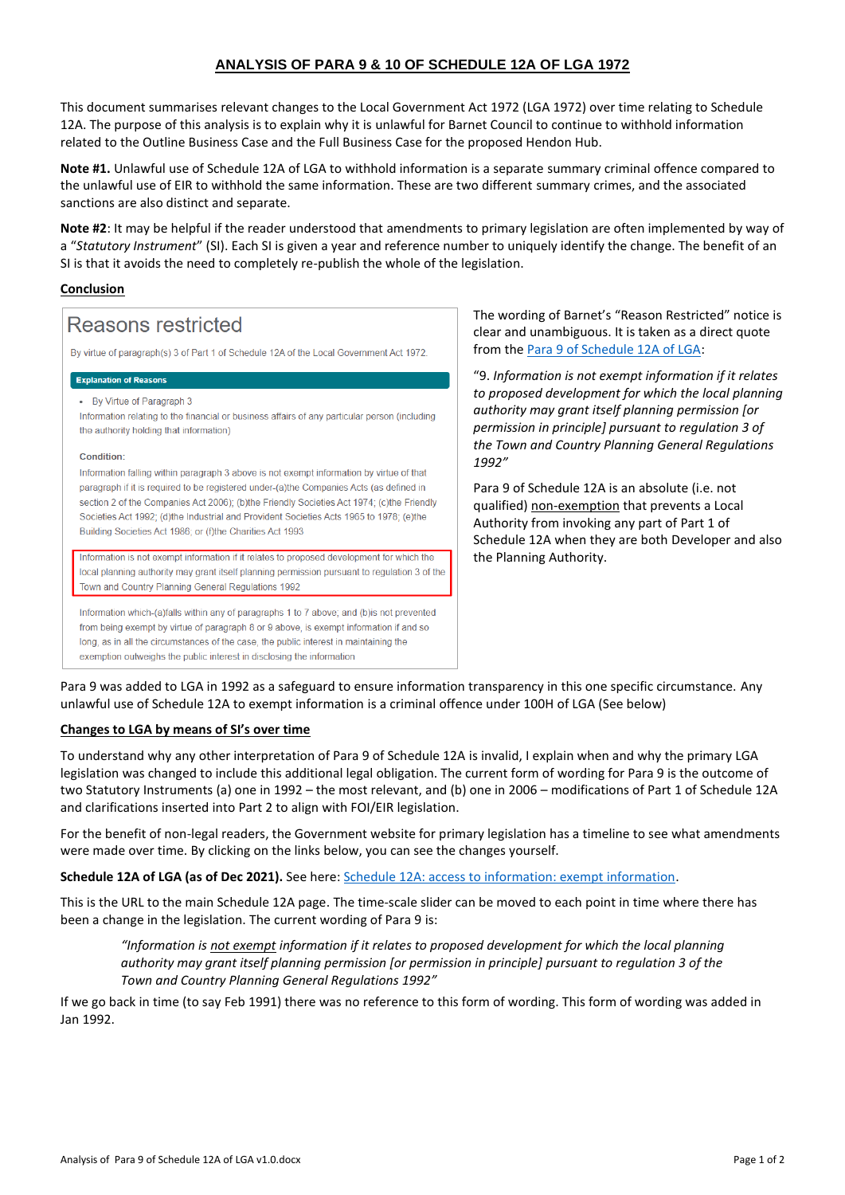## **ANALYSIS OF PARA 9 & 10 OF SCHEDULE 12A OF LGA 1972**

This document summarises relevant changes to the Local Government Act 1972 (LGA 1972) over time relating to Schedule 12A. The purpose of this analysis is to explain why it is unlawful for Barnet Council to continue to withhold information related to the Outline Business Case and the Full Business Case for the proposed Hendon Hub.

**Note #1.** Unlawful use of Schedule 12A of LGA to withhold information is a separate summary criminal offence compared to the unlawful use of EIR to withhold the same information. These are two different summary crimes, and the associated sanctions are also distinct and separate.

**Note #2**: It may be helpful if the reader understood that amendments to primary legislation are often implemented by way of a "*Statutory Instrument*" (SI). Each SI is given a year and reference number to uniquely identify the change. The benefit of an SI is that it avoids the need to completely re-publish the whole of the legislation.

## **Conclusion**

# Reasons restricted

By virtue of paragraph(s) 3 of Part 1 of Schedule 12A of the Local Government Act 1972

#### **Explanation of Reasons**

• By Virtue of Paragraph 3

Information relating to the financial or business affairs of any particular person (including the authority holding that information)

#### Condition:

Information falling within paragraph 3 above is not exempt information by virtue of that paragraph if it is required to be registered under-(a)the Companies Acts (as defined in section 2 of the Companies Act 2006); (b)the Friendly Societies Act 1974; (c)the Friendly Societies Act 1992; (d)the Industrial and Provident Societies Acts 1965 to 1978; (e)the Building Societies Act 1986; or (f)the Charities Act 1993

Information is not exempt information if it relates to proposed development for which the local planning authority may grant itself planning permission pursuant to regulation 3 of the Town and Country Planning General Regulations 1992

Information which-(a)falls within any of paragraphs 1 to 7 above; and (b)is not prevented from being exempt by virtue of paragraph 8 or 9 above, is exempt information if and so long, as in all the circumstances of the case, the public interest in maintaining the exemption outweighs the public interest in disclosing the information

The wording of Barnet's "Reason Restricted" notice is clear and unambiguous. It is taken as a direct quote from th[e Para 9 of Schedule 12A of LGA:](https://www.legislation.gov.uk/ukpga/1972/70/schedule/12A/2021-12-03)

"9. *Information is not exempt information if it relates to proposed development for which the local planning authority may grant itself planning permission [or permission in principle] pursuant to regulation 3 of the Town and Country Planning General Regulations 1992"*

Para 9 of Schedule 12A is an absolute (i.e. not qualified) non-exemption that prevents a Local Authority from invoking any part of Part 1 of Schedule 12A when they are both Developer and also the Planning Authority.

Para 9 was added to LGA in 1992 as a safeguard to ensure information transparency in this one specific circumstance. Any unlawful use of Schedule 12A to exempt information is a criminal offence under 100H of LGA (See below)

## **Changes to LGA by means of SI's over time**

To understand why any other interpretation of Para 9 of Schedule 12A is invalid, I explain when and why the primary LGA legislation was changed to include this additional legal obligation. The current form of wording for Para 9 is the outcome of two Statutory Instruments (a) one in 1992 – the most relevant, and (b) one in 2006 – modifications of Part 1 of Schedule 12A and clarifications inserted into Part 2 to align with FOI/EIR legislation.

For the benefit of non-legal readers, the Government website for primary legislation has a timeline to see what amendments were made over time. By clicking on the links below, you can see the changes yourself.

**Schedule 12A of LGA (as of Dec 2021).** See here: [Schedule 12A: access to information: exempt information.](https://www.legislation.gov.uk/ukpga/1972/70/schedule/12A/2021-12-03)

This is the URL to the main Schedule 12A page. The time-scale slider can be moved to each point in time where there has been a change in the legislation. The current wording of Para 9 is:

*"Information is not exempt information if it relates to proposed development for which the local planning authority may grant itself planning permission [or permission in principle] pursuant to regulation 3 of the Town and Country Planning General Regulations 1992"*

If we go back in time (to say Feb 1991) there was no reference to this form of wording. This form of wording was added in Jan 1992.